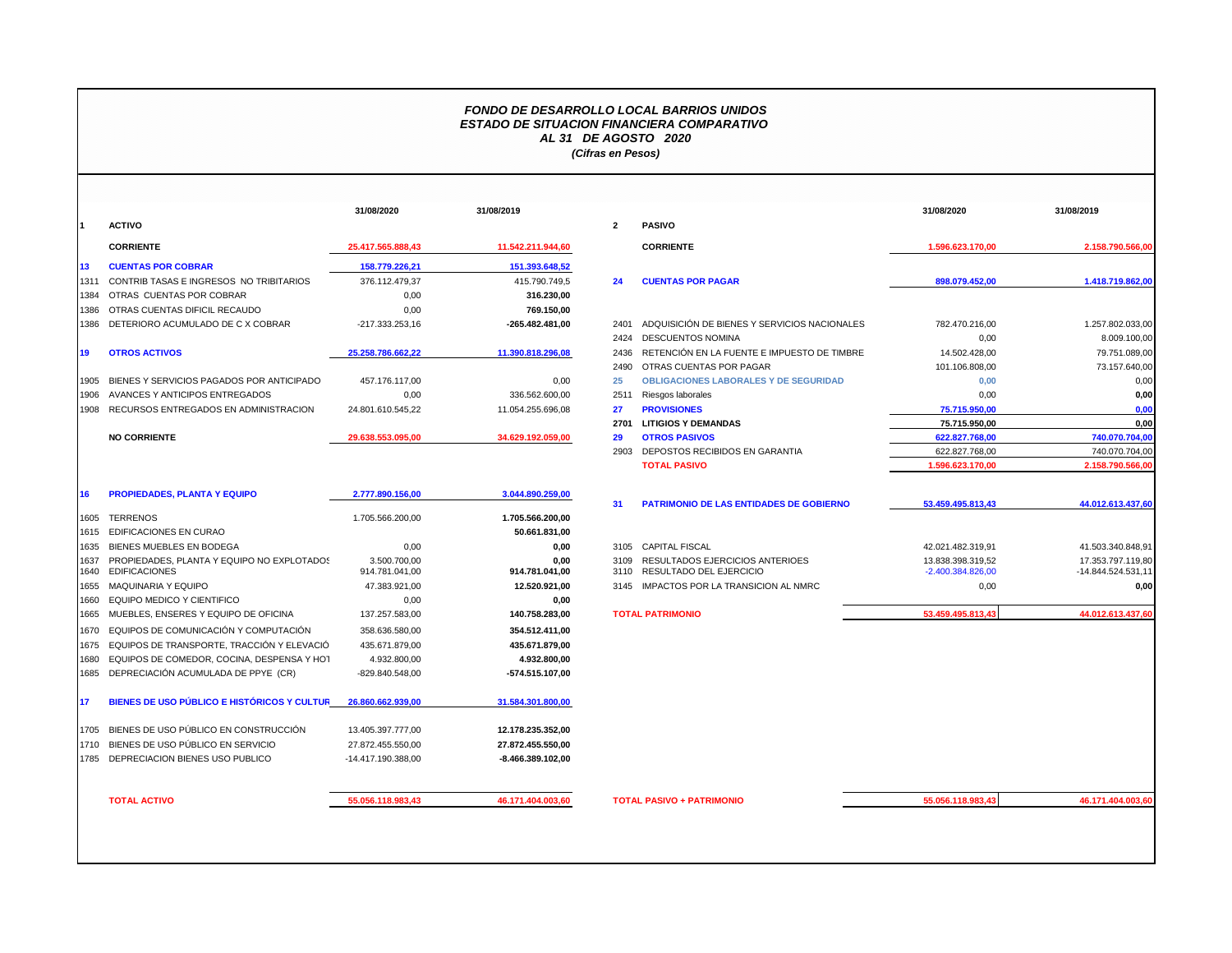## *FONDO DE DESARROLLO LOCAL BARRIOS UNIDOS ESTADO DE SITUACION FINANCIERA COMPARATIVO AL 31 DE AGOSTO 2020 (Cifras en Pesos)*

|              |                                                                    | 31/08/2020                     | 31/08/2019             |              |                                |
|--------------|--------------------------------------------------------------------|--------------------------------|------------------------|--------------|--------------------------------|
| $\mathbf 1$  | <b>ACTIVO</b>                                                      |                                |                        | $\mathbf{2}$ | <b>PASIVO</b>                  |
|              | <b>CORRIENTE</b>                                                   | 25.417.565.888,43              | 11.542.211.944,60      |              | <b>CORRIE</b>                  |
| 13           | <b>CUENTAS POR COBRAR</b>                                          | 158.779.226,21                 | 151.393.648,52         |              |                                |
| 1311         | CONTRIB TASAS E INGRESOS NO TRIBITARIOS                            | 376.112.479.37                 | 415.790.749.5          | 24           | <b>CUENT/</b>                  |
| 1384         | OTRAS CUENTAS POR COBRAR                                           | 0.00                           | 316.230,00             |              |                                |
| 1386         | OTRAS CUENTAS DIFICIL RECAUDO                                      | 0,00                           | 769.150,00             |              |                                |
| 1386         | DETERIORO ACUMULADO DE C X COBRAR                                  | -217.333.253,16                | -265.482.481,00        | 2401         | <b>ADQUIS</b>                  |
|              |                                                                    |                                |                        | 2424         | <b>DESCUI</b>                  |
| 19           | <b>OTROS ACTIVOS</b>                                               | 25.258.786.662,22              | 11.390.818.296,08      | 2436         | <b>RETENO</b>                  |
|              |                                                                    |                                |                        | 2490         | <b>OTRAS</b>                   |
| 1905         | BIENES Y SERVICIOS PAGADOS POR ANTICIPADO                          | 457.176.117,00                 | 0.00                   | 25           | <b>OBLIGA</b>                  |
| 1906         | AVANCES Y ANTICIPOS ENTREGADOS                                     | 0,00                           | 336.562.600,00         | 2511         | Riesgos                        |
| 1908         | RECURSOS ENTREGADOS EN ADMINISTRACION                              | 24.801.610.545,22              | 11.054.255.696,08      | 27           | <b>PROVIS</b>                  |
|              |                                                                    |                                |                        | 2701         | LITIGIO                        |
|              | <b>NO CORRIENTE</b>                                                | 29.638.553.095,00              | 34.629.192.059,00      | 29           | <b>OTROS</b>                   |
|              |                                                                    |                                |                        | 2903         | DEPOS <sup>-</sup>             |
|              |                                                                    |                                |                        |              | <b>TOTAL</b>                   |
| 16           | <b>PROPIEDADES, PLANTA Y EQUIPO</b>                                | 2.777.890.156,00               | 3.044.890.259,00       | 31           | <b>PATRIM</b>                  |
| 1605         | <b>TERRENOS</b>                                                    | 1.705.566.200,00               | 1.705.566.200,00       |              |                                |
| 1615         | <b>EDIFICACIONES EN CURAO</b>                                      |                                | 50.661.831,00          |              |                                |
| 1635         | <b>BIENES MUEBLES EN BODEGA</b>                                    | 0.00                           | 0.00                   | 3105         | <b>CAPITA</b>                  |
| 1637<br>1640 | PROPIEDADES, PLANTA Y EQUIPO NO EXPLOTADOS<br><b>EDIFICACIONES</b> | 3.500.700,00<br>914.781.041.00 | 0.00<br>914.781.041.00 | 3109<br>3110 | <b>RESULT</b><br><b>RESULT</b> |
| 1655         | MAQUINARIA Y EQUIPO                                                | 47.383.921,00                  | 12.520.921,00          | 3145         | <b>IMPACT</b>                  |
| 1660         | EQUIPO MEDICO Y CIENTIFICO                                         | 0,00                           | 0,00                   |              |                                |
| 1665         | MUEBLES, ENSERES Y EQUIPO DE OFICINA                               | 137.257.583,00                 | 140.758.283,00         |              | <b>TOTAL PATRIN</b>            |
| 1670         | EQUIPOS DE COMUNICACIÓN Y COMPUTACIÓN                              | 358.636.580,00                 | 354.512.411,00         |              |                                |
| 1675         | EQUIPOS DE TRANSPORTE, TRACCIÓN Y ELEVACIÓ                         | 435.671.879,00                 | 435.671.879,00         |              |                                |
| 1680         | EQUIPOS DE COMEDOR, COCINA, DESPENSA Y HOT                         | 4.932.800,00                   | 4.932.800,00           |              |                                |
| 1685         | DEPRECIACIÓN ACUMULADA DE PPYE (CR)                                | -829.840.548,00                | -574.515.107,00        |              |                                |
| 17           | BIENES DE USO PÚBLICO E HISTÓRICOS Y CULTUR                        | 26.860.662.939,00              | 31.584.301.800,00      |              |                                |
| 1705         | BIENES DE USO PÚBLICO EN CONSTRUCCIÓN                              | 13.405.397.777,00              | 12.178.235.352,00      |              |                                |
| 1710         | BIENES DE USO PÚBLICO EN SERVICIO                                  | 27.872.455.550,00              | 27.872.455.550,00      |              |                                |
| 1785         | DEPRECIACION BIENES USO PUBLICO                                    | -14.417.190.388,00             | -8.466.389.102,00      |              |                                |
|              |                                                                    |                                |                        |              |                                |
|              | <b>TOTAL ACTIVO</b>                                                | 55.056.118.983,43              | 46.171.404.003,60      |              | <b>TOTAL PASIVO</b>            |

|    |                                                                       | 31/08/2020                     | 31/08/2019             |              |                                                            | 31/08/2020                               | 31/08/2019                              |
|----|-----------------------------------------------------------------------|--------------------------------|------------------------|--------------|------------------------------------------------------------|------------------------------------------|-----------------------------------------|
|    | <b>ACTIVO</b>                                                         |                                |                        | $\mathbf{2}$ | <b>PASIVO</b>                                              |                                          |                                         |
|    | <b>CORRIENTE</b>                                                      | 25.417.565.888,43              | 11.542.211.944,60      |              | <b>CORRIENTE</b>                                           | 1.596.623.170,00                         | 2.158.790.566,00                        |
| 13 | <b>CUENTAS POR COBRAR</b>                                             | 158.779.226,21                 | 151.393.648,52         |              |                                                            |                                          |                                         |
|    | 1311 CONTRIB TASAS E INGRESOS NO TRIBITARIOS                          | 376.112.479,37                 | 415.790.749,5          | 24           | <b>CUENTAS POR PAGAR</b>                                   | 898.079.452,00                           | 1.418.719.862,00                        |
|    | 1384 OTRAS CUENTAS POR COBRAR                                         | 0,00                           | 316.230,00             |              |                                                            |                                          |                                         |
|    | 1386 OTRAS CUENTAS DIFICIL RECAUDO                                    | 0,00                           | 769.150,00             |              |                                                            |                                          |                                         |
|    | 1386 DETERIORO ACUMULADO DE CX COBRAR                                 | -217.333.253,16                | -265.482.481,00        | 2401         | ADQUISICIÓN DE BIENES Y SERVICIOS NACIONALES               | 782.470.216,00                           | 1.257.802.033,00                        |
|    |                                                                       |                                |                        | 2424         | <b>DESCUENTOS NOMINA</b>                                   | 0,00                                     | 8.009.100,00                            |
| 19 | <b>OTROS ACTIVOS</b>                                                  | 25.258.786.662.22              | 11.390.818.296,08      | 2436         | RETENCIÓN EN LA FUENTE E IMPUESTO DE TIMBRE                | 14.502.428,00                            | 79.751.089,00                           |
|    |                                                                       |                                |                        | 2490         | OTRAS CUENTAS POR PAGAR                                    | 101.106.808,00                           | 73.157.640,00                           |
|    | 1905 BIENES Y SERVICIOS PAGADOS POR ANTICIPADO                        | 457.176.117,00                 | 0,00                   | 25           | <b>OBLIGACIONES LABORALES Y DE SEGURIDAD</b>               | 0,00                                     | 0,00                                    |
|    | 1906 AVANCES Y ANTICIPOS ENTREGADOS                                   | 0,00                           | 336.562.600,00         | 2511         | Riesgos laborales                                          | 0,00                                     | 0,00                                    |
|    | 1908 RECURSOS ENTREGADOS EN ADMINISTRACION                            | 24.801.610.545,22              | 11.054.255.696,08      | 27           | <b>PROVISIONES</b>                                         | 75.715.950,00                            | 0,00                                    |
|    |                                                                       |                                |                        | 2701         | <b>LITIGIOS Y DEMANDAS</b>                                 | 75.715.950,00                            | 0,00                                    |
|    | <b>NO CORRIENTE</b>                                                   | 29.638.553.095.00              | 34.629.192.059,00      | 29           | <b>OTROS PASIVOS</b>                                       | 622.827.768,00                           | 740.070.704.00                          |
|    |                                                                       |                                |                        |              | 2903 DEPOSTOS RECIBIDOS EN GARANTIA                        | 622.827.768,00                           | 740.070.704,00                          |
|    |                                                                       |                                |                        |              | <b>TOTAL PASIVO</b>                                        | 1.596.623.170,00                         | 2.158.790.566,00                        |
| 16 | <b>PROPIEDADES, PLANTA Y EQUIPO</b>                                   | 2.777.890.156,00               | 3.044.890.259,00       |              |                                                            |                                          |                                         |
|    |                                                                       |                                |                        | 31           | PATRIMONIO DE LAS ENTIDADES DE GOBIERNO                    | 53.459.495.813,43                        | 44.012.613.437,60                       |
|    | 1605 TERRENOS                                                         | 1.705.566.200,00               | 1.705.566.200,00       |              |                                                            |                                          |                                         |
|    | 1615 EDIFICACIONES EN CURAO                                           |                                | 50.661.831,00          |              |                                                            |                                          |                                         |
|    | 1635 BIENES MUEBLES EN BODEGA                                         | 0,00                           | 0,00                   |              | 3105 CAPITAL FISCAL                                        | 42.021.482.319,91                        | 41.503.340.848,91                       |
|    | 1637 PROPIEDADES, PLANTA Y EQUIPO NO EXPLOTADOS<br>1640 EDIFICACIONES | 3.500.700,00<br>914.781.041,00 | 0,00<br>914.781.041,00 | 3109<br>3110 | RESULTADOS EJERCICIOS ANTERIOES<br>RESULTADO DEL EJERCICIO | 13.838.398.319.52<br>$-2.400.384.826,00$ | 17.353.797.119.80<br>-14.844.524.531,11 |
|    | 1655 MAQUINARIA Y EQUIPO                                              | 47.383.921,00                  | 12.520.921,00          |              | 3145 IMPACTOS POR LA TRANSICION AL NMRC                    | 0,00                                     | 0,00                                    |
|    | 1660 EQUIPO MEDICO Y CIENTIFICO                                       | 0,00                           | 0,00                   |              |                                                            |                                          |                                         |
|    | 1665 MUEBLES, ENSERES Y EQUIPO DE OFICINA                             | 137.257.583,00                 | 140.758.283,00         |              | <b>TOTAL PATRIMONIO</b>                                    | 53.459.495.813,43                        | 44.012.613.437,60                       |
|    | 1670 EQUIPOS DE COMUNICACIÓN Y COMPUTACIÓN                            | 358.636.580,00                 | 354.512.411,00         |              |                                                            |                                          |                                         |
|    | 1675 EQUIPOS DE TRANSPORTE, TRACCIÓN Y ELEVACIÓ                       | 435.671.879,00                 | 435.671.879,00         |              |                                                            |                                          |                                         |
|    | 1680 EQUIPOS DE COMEDOR, COCINA, DESPENSA Y HOT                       | 4.932.800,00                   | 4.932.800,00           |              |                                                            |                                          |                                         |
|    | 1685 DEPRECIACIÓN ACUMULADA DE PPYE (CR)                              | -829.840.548,00                | $-574.515.107,00$      |              |                                                            |                                          |                                         |
| 17 | BIENES DE USO PÚBLICO E HISTÓRICOS Y CULTUR                           | 26.860.662.939.00              | 31.584.301.800.00      |              |                                                            |                                          |                                         |
|    | 1705 BIENES DE USO PÚBLICO EN CONSTRUCCIÓN                            | 13.405.397.777,00              | 12.178.235.352,00      |              |                                                            |                                          |                                         |
|    | 1710 BIENES DE USO PÚBLICO EN SERVICIO                                | 27.872.455.550.00              | 27.872.455.550,00      |              |                                                            |                                          |                                         |
|    | 1785 DEPRECIACION BIENES USO PUBLICO                                  | -14.417.190.388,00             | -8.466.389.102,00      |              |                                                            |                                          |                                         |
|    |                                                                       |                                |                        |              |                                                            |                                          |                                         |

**TOTAL ACTIVO 55.056.118.983,43 46.171.404.003,60 TOTAL PASIVO + PATRIMONIO 55.056.118.983,43 46.171.404.003,60**